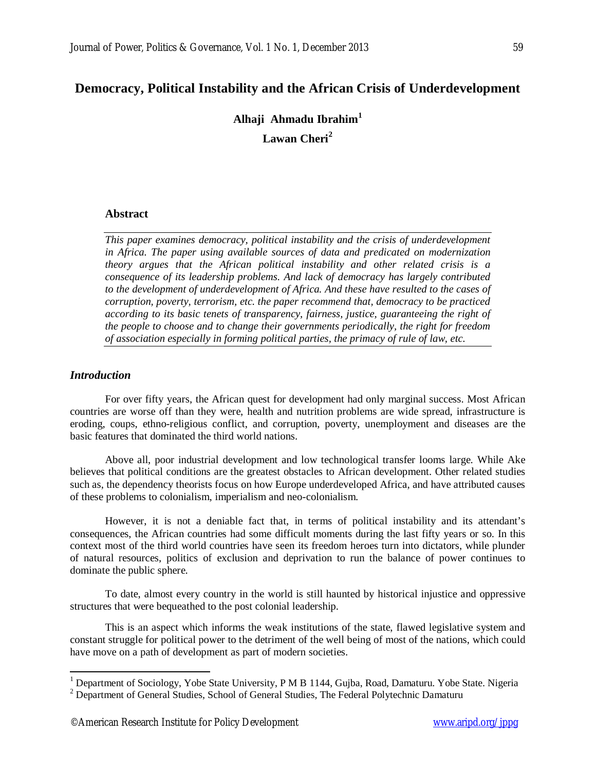# **Democracy, Political Instability and the African Crisis of Underdevelopment**

**Alhaji Ahmadu Ibrahim<sup>1</sup> Lawan Cheri<sup>2</sup>**

## **Abstract**

*This paper examines democracy, political instability and the crisis of underdevelopment in Africa. The paper using available sources of data and predicated on modernization theory argues that the African political instability and other related crisis is a consequence of its leadership problems. And lack of democracy has largely contributed to the development of underdevelopment of Africa. And these have resulted to the cases of corruption, poverty, terrorism, etc. the paper recommend that, democracy to be practiced according to its basic tenets of transparency, fairness, justice, guaranteeing the right of the people to choose and to change their governments periodically, the right for freedom of association especially in forming political parties, the primacy of rule of law, etc.*

## *Introduction*

 $\overline{a}$ 

For over fifty years, the African quest for development had only marginal success. Most African countries are worse off than they were, health and nutrition problems are wide spread, infrastructure is eroding, coups, ethno-religious conflict, and corruption, poverty, unemployment and diseases are the basic features that dominated the third world nations.

Above all, poor industrial development and low technological transfer looms large. While Ake believes that political conditions are the greatest obstacles to African development. Other related studies such as, the dependency theorists focus on how Europe underdeveloped Africa, and have attributed causes of these problems to colonialism, imperialism and neo-colonialism.

However, it is not a deniable fact that, in terms of political instability and its attendant's consequences, the African countries had some difficult moments during the last fifty years or so. In this context most of the third world countries have seen its freedom heroes turn into dictators, while plunder of natural resources, politics of exclusion and deprivation to run the balance of power continues to dominate the public sphere.

To date, almost every country in the world is still haunted by historical injustice and oppressive structures that were bequeathed to the post colonial leadership.

This is an aspect which informs the weak institutions of the state, flawed legislative system and constant struggle for political power to the detriment of the well being of most of the nations, which could have move on a path of development as part of modern societies.

<sup>&</sup>lt;sup>1</sup> Department of Sociology, Yobe State University, P M B 1144, Gujba, Road, Damaturu. Yobe State. Nigeria

<sup>&</sup>lt;sup>2</sup> Department of General Studies, School of General Studies, The Federal Polytechnic Damaturu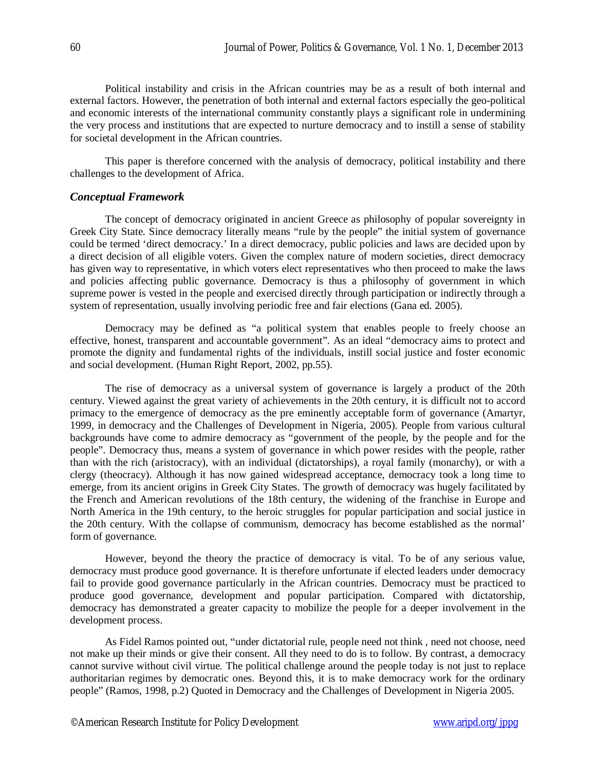Political instability and crisis in the African countries may be as a result of both internal and external factors. However, the penetration of both internal and external factors especially the geo-political and economic interests of the international community constantly plays a significant role in undermining the very process and institutions that are expected to nurture democracy and to instill a sense of stability for societal development in the African countries.

This paper is therefore concerned with the analysis of democracy, political instability and there challenges to the development of Africa.

#### *Conceptual Framework*

The concept of democracy originated in ancient Greece as philosophy of popular sovereignty in Greek City State. Since democracy literally means "rule by the people" the initial system of governance could be termed 'direct democracy.' In a direct democracy, public policies and laws are decided upon by a direct decision of all eligible voters. Given the complex nature of modern societies, direct democracy has given way to representative, in which voters elect representatives who then proceed to make the laws and policies affecting public governance. Democracy is thus a philosophy of government in which supreme power is vested in the people and exercised directly through participation or indirectly through a system of representation, usually involving periodic free and fair elections (Gana ed. 2005).

Democracy may be defined as "a political system that enables people to freely choose an effective, honest, transparent and accountable government". As an ideal "democracy aims to protect and promote the dignity and fundamental rights of the individuals, instill social justice and foster economic and social development. (Human Right Report, 2002, pp.55).

The rise of democracy as a universal system of governance is largely a product of the 20th century. Viewed against the great variety of achievements in the 20th century, it is difficult not to accord primacy to the emergence of democracy as the pre eminently acceptable form of governance (Amartyr, 1999, in democracy and the Challenges of Development in Nigeria, 2005). People from various cultural backgrounds have come to admire democracy as "government of the people, by the people and for the people". Democracy thus, means a system of governance in which power resides with the people, rather than with the rich (aristocracy), with an individual (dictatorships), a royal family (monarchy), or with a clergy (theocracy). Although it has now gained widespread acceptance, democracy took a long time to emerge, from its ancient origins in Greek City States. The growth of democracy was hugely facilitated by the French and American revolutions of the 18th century, the widening of the franchise in Europe and North America in the 19th century, to the heroic struggles for popular participation and social justice in the 20th century. With the collapse of communism, democracy has become established as the normal' form of governance.

However, beyond the theory the practice of democracy is vital. To be of any serious value, democracy must produce good governance. It is therefore unfortunate if elected leaders under democracy fail to provide good governance particularly in the African countries. Democracy must be practiced to produce good governance, development and popular participation. Compared with dictatorship, democracy has demonstrated a greater capacity to mobilize the people for a deeper involvement in the development process.

As Fidel Ramos pointed out, "under dictatorial rule, people need not think , need not choose, need not make up their minds or give their consent. All they need to do is to follow. By contrast, a democracy cannot survive without civil virtue. The political challenge around the people today is not just to replace authoritarian regimes by democratic ones. Beyond this, it is to make democracy work for the ordinary people" (Ramos, 1998, p.2) Quoted in Democracy and the Challenges of Development in Nigeria 2005.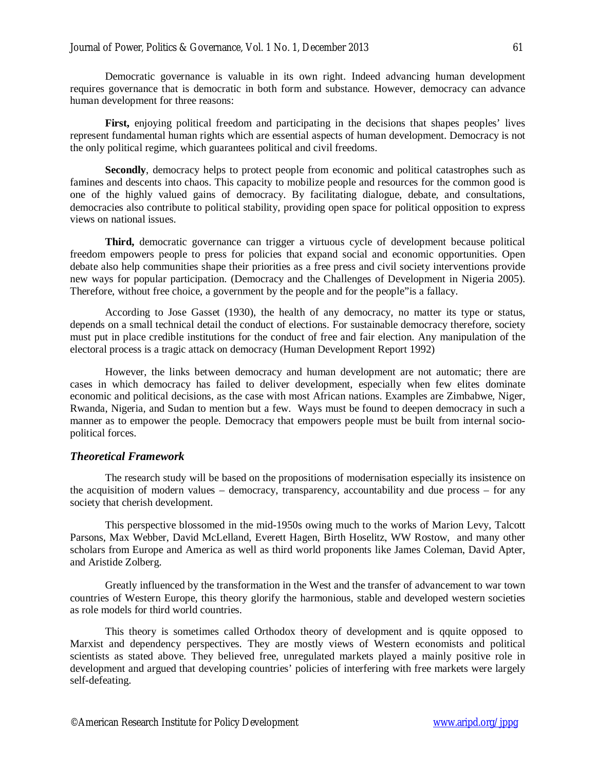Democratic governance is valuable in its own right. Indeed advancing human development requires governance that is democratic in both form and substance. However, democracy can advance human development for three reasons:

**First,** enjoying political freedom and participating in the decisions that shapes peoples' lives represent fundamental human rights which are essential aspects of human development. Democracy is not the only political regime, which guarantees political and civil freedoms.

**Secondly**, democracy helps to protect people from economic and political catastrophes such as famines and descents into chaos. This capacity to mobilize people and resources for the common good is one of the highly valued gains of democracy. By facilitating dialogue, debate, and consultations, democracies also contribute to political stability, providing open space for political opposition to express views on national issues.

**Third,** democratic governance can trigger a virtuous cycle of development because political freedom empowers people to press for policies that expand social and economic opportunities. Open debate also help communities shape their priorities as a free press and civil society interventions provide new ways for popular participation. (Democracy and the Challenges of Development in Nigeria 2005). Therefore, without free choice, a government by the people and for the people"is a fallacy.

According to Jose Gasset (1930), the health of any democracy, no matter its type or status, depends on a small technical detail the conduct of elections. For sustainable democracy therefore, society must put in place credible institutions for the conduct of free and fair election. Any manipulation of the electoral process is a tragic attack on democracy (Human Development Report 1992)

However, the links between democracy and human development are not automatic; there are cases in which democracy has failed to deliver development, especially when few elites dominate economic and political decisions, as the case with most African nations. Examples are Zimbabwe, Niger, Rwanda, Nigeria, and Sudan to mention but a few. Ways must be found to deepen democracy in such a manner as to empower the people. Democracy that empowers people must be built from internal sociopolitical forces.

## *Theoretical Framework*

The research study will be based on the propositions of modernisation especially its insistence on the acquisition of modern values – democracy, transparency, accountability and due process – for any society that cherish development.

This perspective blossomed in the mid-1950s owing much to the works of Marion Levy, Talcott Parsons, Max Webber, David McLelland, Everett Hagen, Birth Hoselitz, WW Rostow, and many other scholars from Europe and America as well as third world proponents like James Coleman, David Apter, and Aristide Zolberg.

Greatly influenced by the transformation in the West and the transfer of advancement to war town countries of Western Europe, this theory glorify the harmonious, stable and developed western societies as role models for third world countries.

This theory is sometimes called Orthodox theory of development and is qquite opposed to Marxist and dependency perspectives. They are mostly views of Western economists and political scientists as stated above. They believed free, unregulated markets played a mainly positive role in development and argued that developing countries' policies of interfering with free markets were largely self-defeating.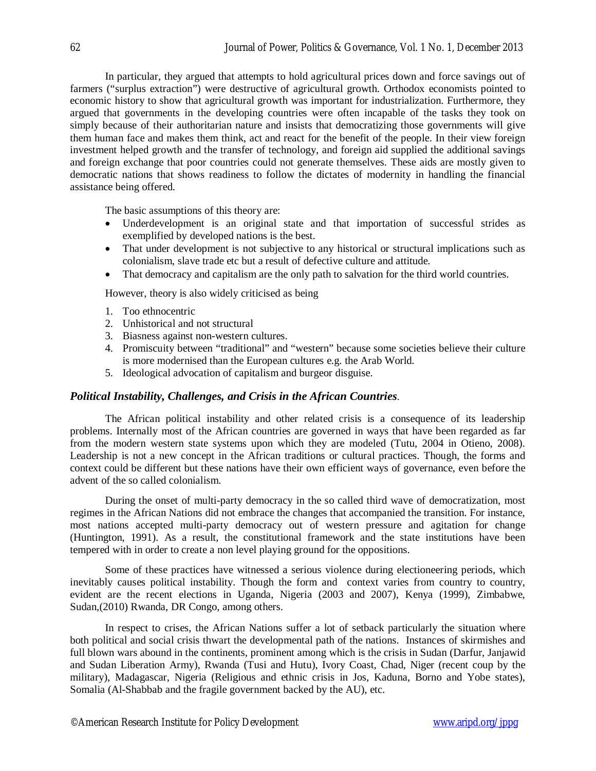In particular, they argued that attempts to hold agricultural prices down and force savings out of farmers ("surplus extraction") were destructive of agricultural growth. Orthodox economists pointed to economic history to show that agricultural growth was important for industrialization. Furthermore, they argued that governments in the developing countries were often incapable of the tasks they took on simply because of their authoritarian nature and insists that democratizing those governments will give them human face and makes them think, act and react for the benefit of the people. In their view foreign investment helped growth and the transfer of technology, and foreign aid supplied the additional savings and foreign exchange that poor countries could not generate themselves. These aids are mostly given to democratic nations that shows readiness to follow the dictates of modernity in handling the financial assistance being offered.

The basic assumptions of this theory are:

- Underdevelopment is an original state and that importation of successful strides as exemplified by developed nations is the best.
- That under development is not subjective to any historical or structural implications such as colonialism, slave trade etc but a result of defective culture and attitude.
- That democracy and capitalism are the only path to salvation for the third world countries.

However, theory is also widely criticised as being

- 1. Too ethnocentric
- 2. Unhistorical and not structural
- 3. Biasness against non-western cultures.
- 4. Promiscuity between "traditional" and "western" because some societies believe their culture is more modernised than the European cultures e.g. the Arab World.
- 5. Ideological advocation of capitalism and burgeor disguise.

## *Political Instability, Challenges, and Crisis in the African Countries*.

The African political instability and other related crisis is a consequence of its leadership problems. Internally most of the African countries are governed in ways that have been regarded as far from the modern western state systems upon which they are modeled (Tutu, 2004 in Otieno, 2008). Leadership is not a new concept in the African traditions or cultural practices. Though, the forms and context could be different but these nations have their own efficient ways of governance, even before the advent of the so called colonialism.

During the onset of multi-party democracy in the so called third wave of democratization, most regimes in the African Nations did not embrace the changes that accompanied the transition. For instance, most nations accepted multi-party democracy out of western pressure and agitation for change (Huntington, 1991). As a result, the constitutional framework and the state institutions have been tempered with in order to create a non level playing ground for the oppositions.

Some of these practices have witnessed a serious violence during electioneering periods, which inevitably causes political instability. Though the form and context varies from country to country, evident are the recent elections in Uganda, Nigeria (2003 and 2007), Kenya (1999), Zimbabwe, Sudan,(2010) Rwanda, DR Congo, among others.

In respect to crises, the African Nations suffer a lot of setback particularly the situation where both political and social crisis thwart the developmental path of the nations. Instances of skirmishes and full blown wars abound in the continents, prominent among which is the crisis in Sudan (Darfur, Janjawid and Sudan Liberation Army), Rwanda (Tusi and Hutu), Ivory Coast, Chad, Niger (recent coup by the military), Madagascar, Nigeria (Religious and ethnic crisis in Jos, Kaduna, Borno and Yobe states), Somalia (Al-Shabbab and the fragile government backed by the AU), etc.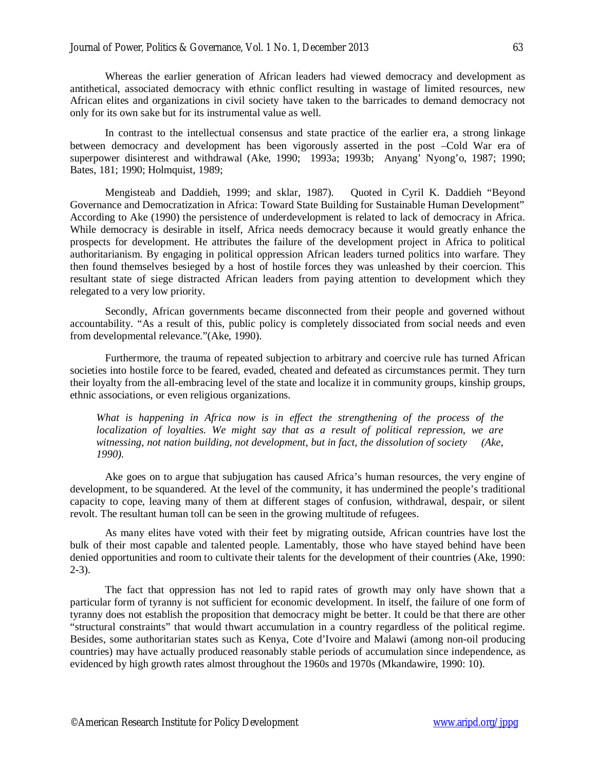Whereas the earlier generation of African leaders had viewed democracy and development as antithetical, associated democracy with ethnic conflict resulting in wastage of limited resources, new African elites and organizations in civil society have taken to the barricades to demand democracy not only for its own sake but for its instrumental value as well.

In contrast to the intellectual consensus and state practice of the earlier era, a strong linkage between democracy and development has been vigorously asserted in the post –Cold War era of superpower disinterest and withdrawal (Ake, 1990; 1993a; 1993b; Anyang' Nyong'o, 1987; 1990; Bates, 181; 1990; Holmquist, 1989;

Mengisteab and Daddieh, 1999; and sklar, 1987). Quoted in Cyril K. Daddieh "Beyond Governance and Democratization in Africa: Toward State Building for Sustainable Human Development" According to Ake (1990) the persistence of underdevelopment is related to lack of democracy in Africa. While democracy is desirable in itself, Africa needs democracy because it would greatly enhance the prospects for development. He attributes the failure of the development project in Africa to political authoritarianism. By engaging in political oppression African leaders turned politics into warfare. They then found themselves besieged by a host of hostile forces they was unleashed by their coercion. This resultant state of siege distracted African leaders from paying attention to development which they relegated to a very low priority.

Secondly, African governments became disconnected from their people and governed without accountability. "As a result of this, public policy is completely dissociated from social needs and even from developmental relevance."(Ake, 1990).

Furthermore, the trauma of repeated subjection to arbitrary and coercive rule has turned African societies into hostile force to be feared, evaded, cheated and defeated as circumstances permit. They turn their loyalty from the all-embracing level of the state and localize it in community groups, kinship groups, ethnic associations, or even religious organizations.

*What is happening in Africa now is in effect the strengthening of the process of the localization of loyalties. We might say that as a result of political repression, we are witnessing, not nation building, not development, but in fact, the dissolution of society (Ake, 1990).*

Ake goes on to argue that subjugation has caused Africa's human resources, the very engine of development, to be squandered. At the level of the community, it has undermined the people's traditional capacity to cope, leaving many of them at different stages of confusion, withdrawal, despair, or silent revolt. The resultant human toll can be seen in the growing multitude of refugees.

As many elites have voted with their feet by migrating outside, African countries have lost the bulk of their most capable and talented people. Lamentably, those who have stayed behind have been denied opportunities and room to cultivate their talents for the development of their countries (Ake, 1990: 2-3).

The fact that oppression has not led to rapid rates of growth may only have shown that a particular form of tyranny is not sufficient for economic development. In itself, the failure of one form of tyranny does not establish the proposition that democracy might be better. It could be that there are other "structural constraints" that would thwart accumulation in a country regardless of the political regime. Besides, some authoritarian states such as Kenya, Cote d'Ivoire and Malawi (among non-oil producing countries) may have actually produced reasonably stable periods of accumulation since independence, as evidenced by high growth rates almost throughout the 1960s and 1970s (Mkandawire, 1990: 10).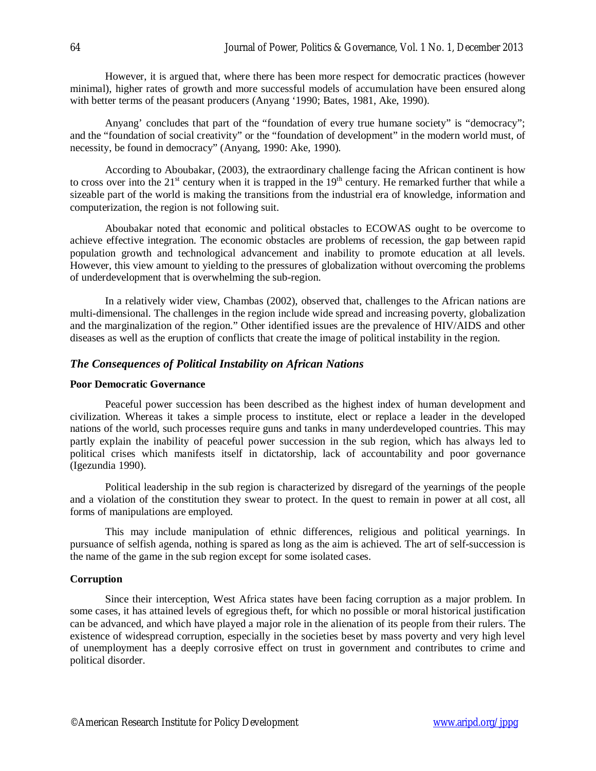However, it is argued that, where there has been more respect for democratic practices (however minimal), higher rates of growth and more successful models of accumulation have been ensured along with better terms of the peasant producers (Anyang '1990; Bates, 1981, Ake, 1990).

Anyang' concludes that part of the "foundation of every true humane society" is "democracy"; and the "foundation of social creativity" or the "foundation of development" in the modern world must, of necessity, be found in democracy" (Anyang, 1990: Ake, 1990).

According to Aboubakar, (2003), the extraordinary challenge facing the African continent is how to cross over into the  $21<sup>st</sup>$  century when it is trapped in the  $19<sup>th</sup>$  century. He remarked further that while a sizeable part of the world is making the transitions from the industrial era of knowledge, information and computerization, the region is not following suit.

Aboubakar noted that economic and political obstacles to ECOWAS ought to be overcome to achieve effective integration. The economic obstacles are problems of recession, the gap between rapid population growth and technological advancement and inability to promote education at all levels. However, this view amount to yielding to the pressures of globalization without overcoming the problems of underdevelopment that is overwhelming the sub-region.

In a relatively wider view, Chambas (2002), observed that, challenges to the African nations are multi-dimensional. The challenges in the region include wide spread and increasing poverty, globalization and the marginalization of the region." Other identified issues are the prevalence of HIV/AIDS and other diseases as well as the eruption of conflicts that create the image of political instability in the region.

## *The Consequences of Political Instability on African Nations*

#### **Poor Democratic Governance**

Peaceful power succession has been described as the highest index of human development and civilization. Whereas it takes a simple process to institute, elect or replace a leader in the developed nations of the world, such processes require guns and tanks in many underdeveloped countries. This may partly explain the inability of peaceful power succession in the sub region, which has always led to political crises which manifests itself in dictatorship, lack of accountability and poor governance (Igezundia 1990).

Political leadership in the sub region is characterized by disregard of the yearnings of the people and a violation of the constitution they swear to protect. In the quest to remain in power at all cost, all forms of manipulations are employed.

This may include manipulation of ethnic differences, religious and political yearnings. In pursuance of selfish agenda, nothing is spared as long as the aim is achieved. The art of self-succession is the name of the game in the sub region except for some isolated cases.

#### **Corruption**

Since their interception, West Africa states have been facing corruption as a major problem. In some cases, it has attained levels of egregious theft, for which no possible or moral historical justification can be advanced, and which have played a major role in the alienation of its people from their rulers. The existence of widespread corruption, especially in the societies beset by mass poverty and very high level of unemployment has a deeply corrosive effect on trust in government and contributes to crime and political disorder.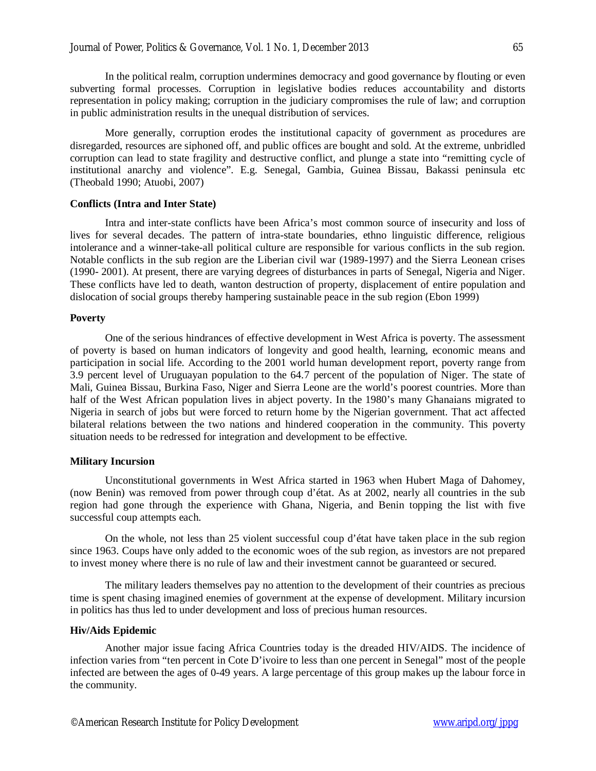In the political realm, corruption undermines democracy and good governance by flouting or even subverting formal processes. Corruption in legislative bodies reduces accountability and distorts representation in policy making; corruption in the judiciary compromises the rule of law; and corruption in public administration results in the unequal distribution of services.

More generally, corruption erodes the institutional capacity of government as procedures are disregarded, resources are siphoned off, and public offices are bought and sold. At the extreme, unbridled corruption can lead to state fragility and destructive conflict, and plunge a state into "remitting cycle of institutional anarchy and violence". E.g. Senegal, Gambia, Guinea Bissau, Bakassi peninsula etc (Theobald 1990; Atuobi, 2007)

#### **Conflicts (Intra and Inter State)**

Intra and inter-state conflicts have been Africa's most common source of insecurity and loss of lives for several decades. The pattern of intra-state boundaries, ethno linguistic difference, religious intolerance and a winner-take-all political culture are responsible for various conflicts in the sub region. Notable conflicts in the sub region are the Liberian civil war (1989-1997) and the Sierra Leonean crises (1990- 2001). At present, there are varying degrees of disturbances in parts of Senegal, Nigeria and Niger. These conflicts have led to death, wanton destruction of property, displacement of entire population and dislocation of social groups thereby hampering sustainable peace in the sub region (Ebon 1999)

#### **Poverty**

One of the serious hindrances of effective development in West Africa is poverty. The assessment of poverty is based on human indicators of longevity and good health, learning, economic means and participation in social life. According to the 2001 world human development report, poverty range from 3.9 percent level of Uruguayan population to the 64.7 percent of the population of Niger. The state of Mali, Guinea Bissau, Burkina Faso, Niger and Sierra Leone are the world's poorest countries. More than half of the West African population lives in abject poverty. In the 1980's many Ghanaians migrated to Nigeria in search of jobs but were forced to return home by the Nigerian government. That act affected bilateral relations between the two nations and hindered cooperation in the community. This poverty situation needs to be redressed for integration and development to be effective.

### **Military Incursion**

Unconstitutional governments in West Africa started in 1963 when Hubert Maga of Dahomey, (now Benin) was removed from power through coup d'état. As at 2002, nearly all countries in the sub region had gone through the experience with Ghana, Nigeria, and Benin topping the list with five successful coup attempts each.

On the whole, not less than 25 violent successful coup d'état have taken place in the sub region since 1963. Coups have only added to the economic woes of the sub region, as investors are not prepared to invest money where there is no rule of law and their investment cannot be guaranteed or secured.

The military leaders themselves pay no attention to the development of their countries as precious time is spent chasing imagined enemies of government at the expense of development. Military incursion in politics has thus led to under development and loss of precious human resources.

#### **Hiv/Aids Epidemic**

Another major issue facing Africa Countries today is the dreaded HIV/AIDS. The incidence of infection varies from "ten percent in Cote D'ivoire to less than one percent in Senegal" most of the people infected are between the ages of 0-49 years. A large percentage of this group makes up the labour force in the community.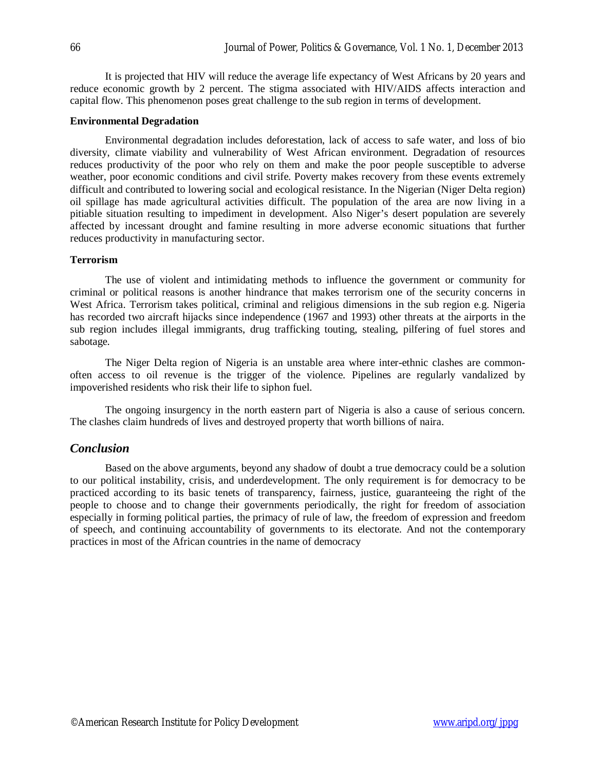It is projected that HIV will reduce the average life expectancy of West Africans by 20 years and reduce economic growth by 2 percent. The stigma associated with HIV/AIDS affects interaction and capital flow. This phenomenon poses great challenge to the sub region in terms of development.

#### **Environmental Degradation**

Environmental degradation includes deforestation, lack of access to safe water, and loss of bio diversity, climate viability and vulnerability of West African environment. Degradation of resources reduces productivity of the poor who rely on them and make the poor people susceptible to adverse weather, poor economic conditions and civil strife. Poverty makes recovery from these events extremely difficult and contributed to lowering social and ecological resistance. In the Nigerian (Niger Delta region) oil spillage has made agricultural activities difficult. The population of the area are now living in a pitiable situation resulting to impediment in development. Also Niger's desert population are severely affected by incessant drought and famine resulting in more adverse economic situations that further reduces productivity in manufacturing sector.

#### **Terrorism**

The use of violent and intimidating methods to influence the government or community for criminal or political reasons is another hindrance that makes terrorism one of the security concerns in West Africa. Terrorism takes political, criminal and religious dimensions in the sub region e.g. Nigeria has recorded two aircraft hijacks since independence (1967 and 1993) other threats at the airports in the sub region includes illegal immigrants, drug trafficking touting, stealing, pilfering of fuel stores and sabotage.

The Niger Delta region of Nigeria is an unstable area where inter-ethnic clashes are commonoften access to oil revenue is the trigger of the violence. Pipelines are regularly vandalized by impoverished residents who risk their life to siphon fuel.

The ongoing insurgency in the north eastern part of Nigeria is also a cause of serious concern. The clashes claim hundreds of lives and destroyed property that worth billions of naira.

#### *Conclusion*

Based on the above arguments, beyond any shadow of doubt a true democracy could be a solution to our political instability, crisis, and underdevelopment. The only requirement is for democracy to be practiced according to its basic tenets of transparency, fairness, justice, guaranteeing the right of the people to choose and to change their governments periodically, the right for freedom of association especially in forming political parties, the primacy of rule of law, the freedom of expression and freedom of speech, and continuing accountability of governments to its electorate. And not the contemporary practices in most of the African countries in the name of democracy